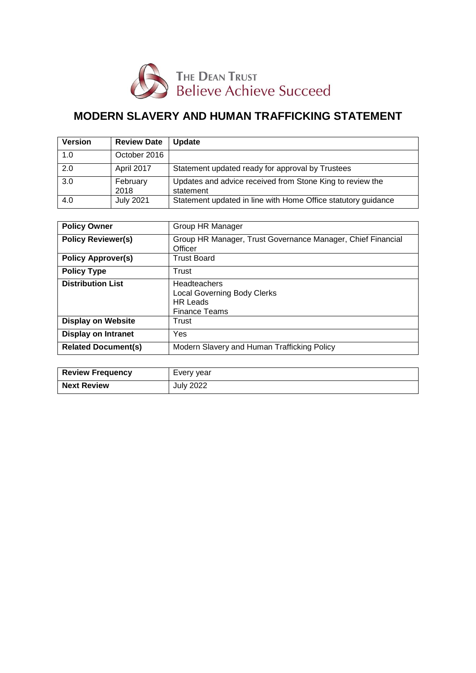

# **MODERN SLAVERY AND HUMAN TRAFFICKING STATEMENT**

| <b>Version</b> | <b>Review Date</b> | <b>Update</b>                                                          |
|----------------|--------------------|------------------------------------------------------------------------|
| 1.0            | October 2016       |                                                                        |
| 2.0            | April 2017         | Statement updated ready for approval by Trustees                       |
| 3.0            | February<br>2018   | Updates and advice received from Stone King to review the<br>statement |
| 4.0            | <b>July 2021</b>   | Statement updated in line with Home Office statutory guidance          |

| <b>Policy Owner</b>        | Group HR Manager                                            |
|----------------------------|-------------------------------------------------------------|
|                            |                                                             |
| <b>Policy Reviewer(s)</b>  | Group HR Manager, Trust Governance Manager, Chief Financial |
|                            |                                                             |
|                            | Officer                                                     |
| <b>Policy Approver(s)</b>  | <b>Trust Board</b>                                          |
|                            |                                                             |
| <b>Policy Type</b>         | Trust                                                       |
|                            |                                                             |
| <b>Distribution List</b>   | <b>Headteachers</b>                                         |
|                            |                                                             |
|                            | <b>Local Governing Body Clerks</b>                          |
|                            | <b>HR Leads</b>                                             |
|                            | <b>Finance Teams</b>                                        |
| <b>Display on Website</b>  | Trust                                                       |
|                            |                                                             |
| Display on Intranet        | Yes                                                         |
|                            |                                                             |
| <b>Related Document(s)</b> | Modern Slavery and Human Trafficking Policy                 |
|                            |                                                             |
|                            |                                                             |

| <b>Review Frequency</b> | Every year       |
|-------------------------|------------------|
| <b>Next Review</b>      | <b>July 2022</b> |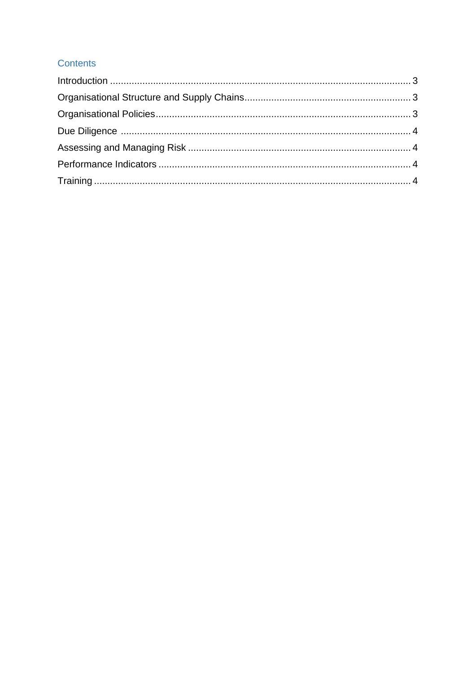# Contents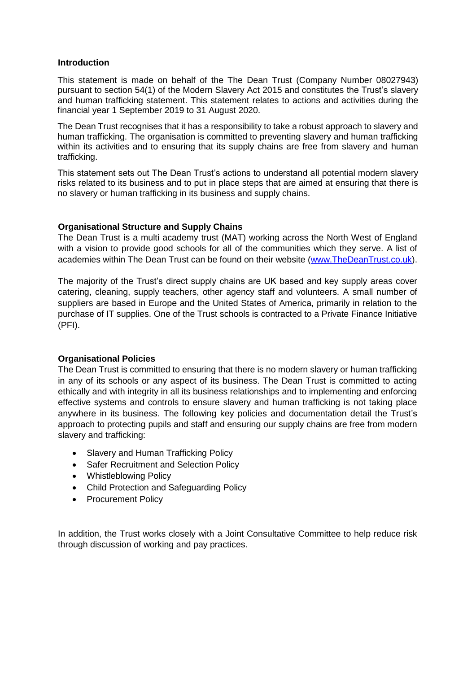#### <span id="page-2-0"></span>**Introduction**

This statement is made on behalf of the The Dean Trust (Company Number 08027943) pursuant to section 54(1) of the Modern Slavery Act 2015 and constitutes the Trust's slavery and human trafficking statement. This statement relates to actions and activities during the financial year 1 September 2019 to 31 August 2020.

The Dean Trust recognises that it has a responsibility to take a robust approach to slavery and human trafficking. The organisation is committed to preventing slavery and human trafficking within its activities and to ensuring that its supply chains are free from slavery and human trafficking.

This statement sets out The Dean Trust's actions to understand all potential modern slavery risks related to its business and to put in place steps that are aimed at ensuring that there is no slavery or human trafficking in its business and supply chains.

## <span id="page-2-1"></span>**Organisational Structure and Supply Chains**

The Dean Trust is a multi academy trust (MAT) working across the North West of England with a vision to provide good schools for all of the communities which they serve. A list of academies within The Dean Trust can be found on their website [\(www.TheDeanTrust.co.uk\)](http://www.thedeantrust.co.uk/).

The majority of the Trust's direct supply chains are UK based and key supply areas cover catering, cleaning, supply teachers, other agency staff and volunteers. A small number of suppliers are based in Europe and the United States of America, primarily in relation to the purchase of IT supplies. One of the Trust schools is contracted to a Private Finance Initiative (PFI).

## <span id="page-2-2"></span>**Organisational Policies**

The Dean Trust is committed to ensuring that there is no modern slavery or human trafficking in any of its schools or any aspect of its business. The Dean Trust is committed to acting ethically and with integrity in all its business relationships and to implementing and enforcing effective systems and controls to ensure slavery and human trafficking is not taking place anywhere in its business. The following key policies and documentation detail the Trust's approach to protecting pupils and staff and ensuring our supply chains are free from modern slavery and trafficking:

- Slavery and Human Trafficking Policy
- Safer Recruitment and Selection Policy
- Whistleblowing Policy
- Child Protection and Safeguarding Policy
- Procurement Policy

In addition, the Trust works closely with a Joint Consultative Committee to help reduce risk through discussion of working and pay practices.